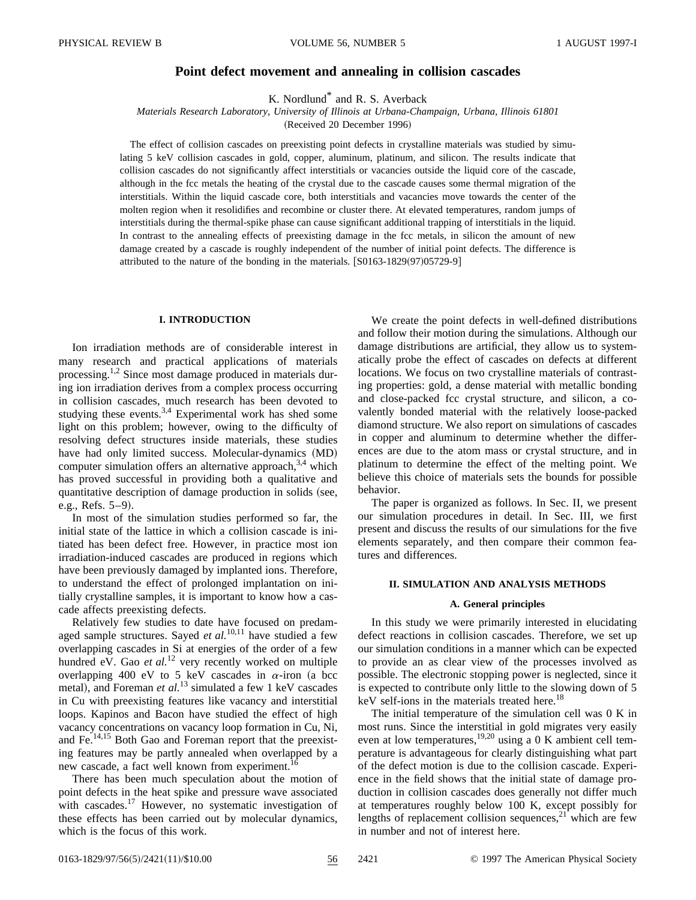# **Point defect movement and annealing in collision cascades**

K. Nordlund\* and R. S. Averback

*Materials Research Laboratory, University of Illinois at Urbana-Champaign, Urbana, Illinois 61801*

(Received 20 December 1996)

The effect of collision cascades on preexisting point defects in crystalline materials was studied by simulating 5 keV collision cascades in gold, copper, aluminum, platinum, and silicon. The results indicate that collision cascades do not significantly affect interstitials or vacancies outside the liquid core of the cascade, although in the fcc metals the heating of the crystal due to the cascade causes some thermal migration of the interstitials. Within the liquid cascade core, both interstitials and vacancies move towards the center of the molten region when it resolidifies and recombine or cluster there. At elevated temperatures, random jumps of interstitials during the thermal-spike phase can cause significant additional trapping of interstitials in the liquid. In contrast to the annealing effects of preexisting damage in the fcc metals, in silicon the amount of new damage created by a cascade is roughly independent of the number of initial point defects. The difference is attributed to the nature of the bonding in the materials.  $[ S0163-1829(97)05729-9 ]$ 

#### **I. INTRODUCTION**

Ion irradiation methods are of considerable interest in many research and practical applications of materials processing.<sup>1,2</sup> Since most damage produced in materials during ion irradiation derives from a complex process occurring in collision cascades, much research has been devoted to studying these events.<sup>3,4</sup> Experimental work has shed some light on this problem; however, owing to the difficulty of resolving defect structures inside materials, these studies have had only limited success. Molecular-dynamics (MD) computer simulation offers an alternative approach,  $3,4$  which has proved successful in providing both a qualitative and quantitative description of damage production in solids (see, e.g., Refs.  $5-9$ ).

In most of the simulation studies performed so far, the initial state of the lattice in which a collision cascade is initiated has been defect free. However, in practice most ion irradiation-induced cascades are produced in regions which have been previously damaged by implanted ions. Therefore, to understand the effect of prolonged implantation on initially crystalline samples, it is important to know how a cascade affects preexisting defects.

Relatively few studies to date have focused on predamaged sample structures. Sayed et al.<sup>10,11</sup> have studied a few overlapping cascades in Si at energies of the order of a few hundred eV. Gao et al.<sup>12</sup> very recently worked on multiple overlapping 400 eV to 5 keV cascades in  $\alpha$ -iron (a bcc metal), and Foreman et al.<sup>13</sup> simulated a few 1 keV cascades in Cu with preexisting features like vacancy and interstitial loops. Kapinos and Bacon have studied the effect of high vacancy concentrations on vacancy loop formation in Cu, Ni, and Fe.14,15 Both Gao and Foreman report that the preexisting features may be partly annealed when overlapped by a new cascade, a fact well known from experiment.<sup>16</sup>

There has been much speculation about the motion of point defects in the heat spike and pressure wave associated with cascades.<sup>17</sup> However, no systematic investigation of these effects has been carried out by molecular dynamics, which is the focus of this work.

We create the point defects in well-defined distributions and follow their motion during the simulations. Although our damage distributions are artificial, they allow us to systematically probe the effect of cascades on defects at different locations. We focus on two crystalline materials of contrasting properties: gold, a dense material with metallic bonding and close-packed fcc crystal structure, and silicon, a covalently bonded material with the relatively loose-packed diamond structure. We also report on simulations of cascades in copper and aluminum to determine whether the differences are due to the atom mass or crystal structure, and in platinum to determine the effect of the melting point. We believe this choice of materials sets the bounds for possible behavior.

The paper is organized as follows. In Sec. II, we present our simulation procedures in detail. In Sec. III, we first present and discuss the results of our simulations for the five elements separately, and then compare their common features and differences.

### **II. SIMULATION AND ANALYSIS METHODS**

#### **A. General principles**

In this study we were primarily interested in elucidating defect reactions in collision cascades. Therefore, we set up our simulation conditions in a manner which can be expected to provide an as clear view of the processes involved as possible. The electronic stopping power is neglected, since it is expected to contribute only little to the slowing down of 5 keV self-ions in the materials treated here.<sup>18</sup>

The initial temperature of the simulation cell was 0 K in most runs. Since the interstitial in gold migrates very easily even at low temperatures,<sup>19,20</sup> using a 0 K ambient cell temperature is advantageous for clearly distinguishing what part of the defect motion is due to the collision cascade. Experience in the field shows that the initial state of damage production in collision cascades does generally not differ much at temperatures roughly below 100 K, except possibly for lengths of replacement collision sequences, $^{21}$  which are few in number and not of interest here.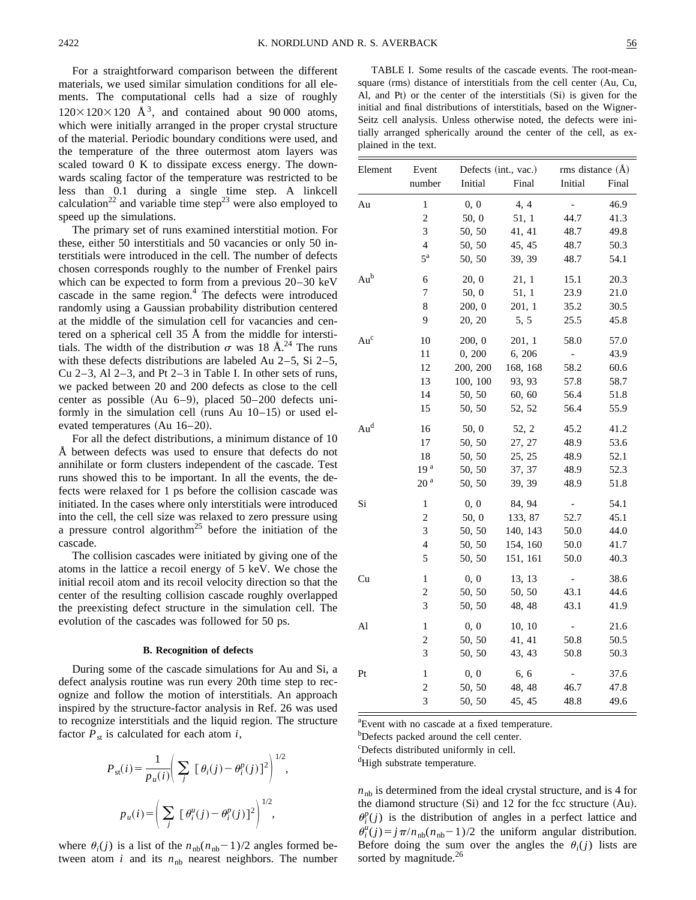For a straightforward comparison between the different materials, we used similar simulation conditions for all elements. The computational cells had a size of roughly  $120\times120\times120\text{ Å}^3$ , and contained about 90 000 atoms, which were initially arranged in the proper crystal structure of the material. Periodic boundary conditions were used, and the temperature of the three outermost atom layers was scaled toward 0 K to dissipate excess energy. The downwards scaling factor of the temperature was restricted to be less than 0.1 during a single time step. A linkcell calculation<sup>22</sup> and variable time step<sup>23</sup> were also employed to speed up the simulations.

The primary set of runs examined interstitial motion. For these, either 50 interstitials and 50 vacancies or only 50 interstitials were introduced in the cell. The number of defects chosen corresponds roughly to the number of Frenkel pairs which can be expected to form from a previous 20–30 keV cascade in the same region.<sup>4</sup> The defects were introduced randomly using a Gaussian probability distribution centered at the middle of the simulation cell for vacancies and centered on a spherical cell 35 Å from the middle for interstitials. The width of the distribution  $\sigma$  was 18 Å.<sup>24</sup> The runs with these defects distributions are labeled Au 2–5, Si 2–5, Cu 2–3, Al 2–3, and Pt 2–3 in Table I. In other sets of runs, we packed between 20 and 200 defects as close to the cell center as possible (Au 6–9), placed  $50-200$  defects uniformly in the simulation cell (runs Au  $10-15$ ) or used elevated temperatures  $(Au 16–20)$ .

For all the defect distributions, a minimum distance of 10 Å between defects was used to ensure that defects do not annihilate or form clusters independent of the cascade. Test runs showed this to be important. In all the events, the defects were relaxed for 1 ps before the collision cascade was initiated. In the cases where only interstitials were introduced into the cell, the cell size was relaxed to zero pressure using a pressure control algorithm<sup>25</sup> before the initiation of the cascade.

The collision cascades were initiated by giving one of the atoms in the lattice a recoil energy of 5 keV. We chose the initial recoil atom and its recoil velocity direction so that the center of the resulting collision cascade roughly overlapped the preexisting defect structure in the simulation cell. The evolution of the cascades was followed for 50 ps.

#### **B. Recognition of defects**

During some of the cascade simulations for Au and Si, a defect analysis routine was run every 20th time step to recognize and follow the motion of interstitials. An approach inspired by the structure-factor analysis in Ref. 26 was used to recognize interstitials and the liquid region. The structure factor  $P_{st}$  is calculated for each atom *i*,

$$
P_{\rm st}(i) = \frac{1}{p_u(i)} \left( \sum_j \left[ \theta_i(j) - \theta_i^p(j) \right]^2 \right)^{1/2},
$$

$$
p_u(i) = \left( \sum_j \left[ \theta_i^u(j) - \theta_i^p(j) \right]^2 \right)^{1/2},
$$

where  $\theta_i(j)$  is a list of the  $n_{nb}(n_{nb}-1)/2$  angles formed between atom  $i$  and its  $n_{nb}$  nearest neighbors. The number

TABLE I. Some results of the cascade events. The root-meansquare  $(rms)$  distance of interstitials from the cell center  $(Au, Cu,$ Al, and Pt) or the center of the interstitials  $(Si)$  is given for the initial and final distributions of interstitials, based on the Wigner-Seitz cell analysis. Unless otherwise noted, the defects were initially arranged spherically around the center of the cell, as explained in the text.

| Element         | Event           | Defects (int., vac.) |          | rms distance $(\AA)$     |       |
|-----------------|-----------------|----------------------|----------|--------------------------|-------|
|                 | number          | Initial              | Final    | Initial                  | Final |
| Au              | 1               | 0, 0                 | 4, 4     |                          | 46.9  |
|                 | $\overline{c}$  | 50, 0                | 51, 1    | 44.7                     | 41.3  |
|                 | 3               | 50, 50               | 41, 41   | 48.7                     | 49.8  |
|                 | $\overline{4}$  | 50, 50               | 45, 45   | 48.7                     | 50.3  |
|                 | $5^{\rm a}$     | 50, 50               | 39, 39   | 48.7                     | 54.1  |
| $Au^b$          | 6               | 20, 0                | 21, 1    | 15.1                     | 20.3  |
|                 | 7               | 50, 0                | 51, 1    | 23.9                     | 21.0  |
|                 | 8               | 200, 0               | 201, 1   | 35.2                     | 30.5  |
|                 | 9               | 20, 20               | 5, 5     | 25.5                     | 45.8  |
| Au <sup>c</sup> | 10              | 200, 0               | 201, 1   | 58.0                     | 57.0  |
|                 | 11              | 0, 200               | 6, 206   | $\blacksquare$           | 43.9  |
|                 | 12              | 200, 200             | 168, 168 | 58.2                     | 60.6  |
|                 | 13              | 100, 100             | 93, 93   | 57.8                     | 58.7  |
|                 | 14              | 50, 50               | 60, 60   | 56.4                     | 51.8  |
|                 | 15              | 50, 50               | 52, 52   | 56.4                     | 55.9  |
| Au <sup>d</sup> | 16              | 50, 0                | 52, 2    | 45.2                     | 41.2  |
|                 | 17              | 50, 50               | 27, 27   | 48.9                     | 53.6  |
|                 | 18              | 50, 50               | 25, 25   | 48.9                     | 52.1  |
|                 | 19 <sup>a</sup> | 50, 50               | 37, 37   | 48.9                     | 52.3  |
|                 | 20 <sup>a</sup> | 50, 50               | 39, 39   | 48.9                     | 51.8  |
| Si              | 1               | 0, 0                 | 84, 94   | $\qquad \qquad -$        | 54.1  |
|                 | $\overline{c}$  | 50, 0                | 133, 87  | 52.7                     | 45.1  |
|                 | 3               | 50, 50               | 140, 143 | 50.0                     | 44.0  |
|                 | 4               | 50, 50               | 154, 160 | 50.0                     | 41.7  |
|                 | 5               | 50, 50               | 151, 161 | 50.0                     | 40.3  |
| Cu              | 1               | 0, 0                 | 13, 13   | $\overline{\phantom{0}}$ | 38.6  |
|                 | 2               | 50, 50               | 50, 50   | 43.1                     | 44.6  |
|                 | 3               | 50, 50               | 48, 48   | 43.1                     | 41.9  |
| Al              | 1               | 0, 0                 | 10, 10   | $\qquad \qquad -$        | 21.6  |
|                 | 2               | 50, 50               | 41, 41   | 50.8                     | 50.5  |
|                 | 3               | 50, 50               | 43, 43   | 50.8                     | 50.3  |
| Pt              | 1               | 0, 0                 | 6, 6     |                          | 37.6  |
|                 | $\overline{c}$  | 50, 50               | 48, 48   | 46.7                     | 47.8  |
|                 | 3               | 50, 50               | 45, 45   | 48.8                     | 49.6  |

<sup>a</sup>Event with no cascade at a fixed temperature.

b<sub>Defects</sub> packed around the cell center.

c Defects distributed uniformly in cell.

<sup>d</sup>High substrate temperature.

 $n<sub>nh</sub>$  is determined from the ideal crystal structure, and is 4 for the diamond structure  $(Si)$  and 12 for the fcc structure  $(Au)$ .  $\theta_i^p(j)$  is the distribution of angles in a perfect lattice and  $\theta_i^u(j) = j \pi / n_{nb}(n_{nb}-1)/2$  the uniform angular distribution. Before doing the sum over the angles the  $\theta_i(j)$  lists are sorted by magnitude. $^{26}$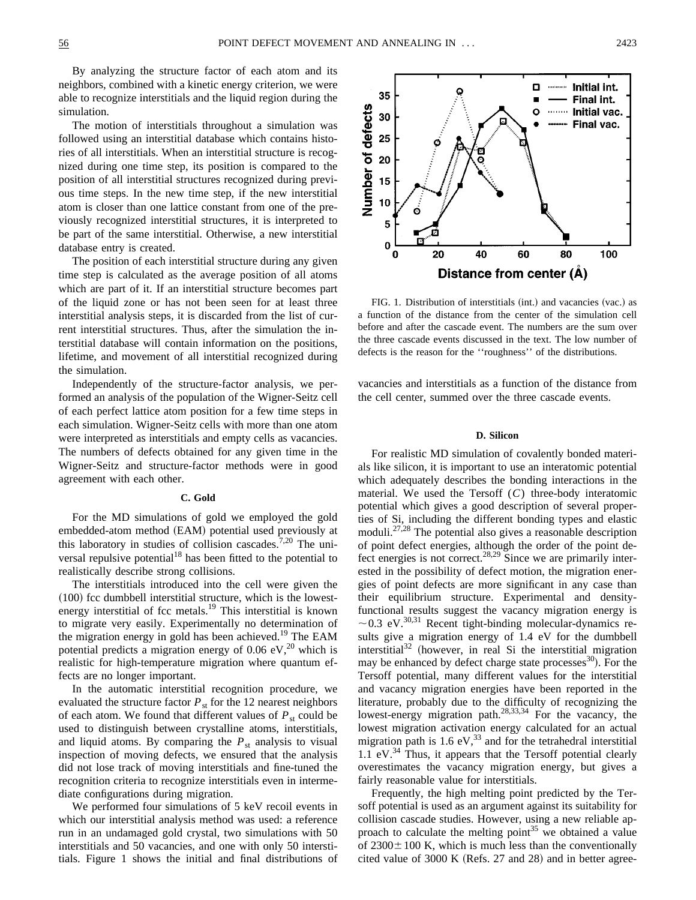By analyzing the structure factor of each atom and its neighbors, combined with a kinetic energy criterion, we were able to recognize interstitials and the liquid region during the simulation.

The motion of interstitials throughout a simulation was followed using an interstitial database which contains histories of all interstitials. When an interstitial structure is recognized during one time step, its position is compared to the position of all interstitial structures recognized during previous time steps. In the new time step, if the new interstitial atom is closer than one lattice constant from one of the previously recognized interstitial structures, it is interpreted to be part of the same interstitial. Otherwise, a new interstitial database entry is created.

The position of each interstitial structure during any given time step is calculated as the average position of all atoms which are part of it. If an interstitial structure becomes part of the liquid zone or has not been seen for at least three interstitial analysis steps, it is discarded from the list of current interstitial structures. Thus, after the simulation the interstitial database will contain information on the positions, lifetime, and movement of all interstitial recognized during the simulation.

Independently of the structure-factor analysis, we performed an analysis of the population of the Wigner-Seitz cell of each perfect lattice atom position for a few time steps in each simulation. Wigner-Seitz cells with more than one atom were interpreted as interstitials and empty cells as vacancies. The numbers of defects obtained for any given time in the Wigner-Seitz and structure-factor methods were in good agreement with each other.

## **C. Gold**

For the MD simulations of gold we employed the gold embedded-atom method (EAM) potential used previously at this laboratory in studies of collision cascades.<sup>7,20</sup> The universal repulsive potential<sup>18</sup> has been fitted to the potential to realistically describe strong collisions.

The interstitials introduced into the cell were given the  $(100)$  fcc dumbbell interstitial structure, which is the lowestenergy interstitial of fcc metals.<sup>19</sup> This interstitial is known to migrate very easily. Experimentally no determination of the migration energy in gold has been achieved.<sup>19</sup> The EAM potential predicts a migration energy of  $0.06$  eV,<sup>20</sup> which is realistic for high-temperature migration where quantum effects are no longer important.

In the automatic interstitial recognition procedure, we evaluated the structure factor  $P_{\text{st}}$  for the 12 nearest neighbors of each atom. We found that different values of  $P_{st}$  could be used to distinguish between crystalline atoms, interstitials, and liquid atoms. By comparing the  $P_{st}$  analysis to visual inspection of moving defects, we ensured that the analysis did not lose track of moving interstitials and fine-tuned the recognition criteria to recognize interstitials even in intermediate configurations during migration.

We performed four simulations of 5 keV recoil events in which our interstitial analysis method was used: a reference run in an undamaged gold crystal, two simulations with 50 interstitials and 50 vacancies, and one with only 50 interstitials. Figure 1 shows the initial and final distributions of

FIG. 1. Distribution of interstitials (int.) and vacancies (vac.) as a function of the distance from the center of the simulation cell before and after the cascade event. The numbers are the sum over the three cascade events discussed in the text. The low number of defects is the reason for the ''roughness'' of the distributions.

vacancies and interstitials as a function of the distance from the cell center, summed over the three cascade events.

### **D. Silicon**

For realistic MD simulation of covalently bonded materials like silicon, it is important to use an interatomic potential which adequately describes the bonding interactions in the material. We used the Tersoff (*C*) three-body interatomic potential which gives a good description of several properties of Si, including the different bonding types and elastic moduli.27,28 The potential also gives a reasonable description of point defect energies, although the order of the point defect energies is not correct.<sup>28,29</sup> Since we are primarily interested in the possibility of defect motion, the migration energies of point defects are more significant in any case than their equilibrium structure. Experimental and densityfunctional results suggest the vacancy migration energy is  $\sim$  0.3 eV.<sup>30,31</sup> Recent tight-binding molecular-dynamics results give a migration energy of 1.4 eV for the dumbbell interstitial<sup>32</sup> (however, in real Si the interstitial migration may be enhanced by defect charge state processes $^{30}$ ). For the Tersoff potential, many different values for the interstitial and vacancy migration energies have been reported in the literature, probably due to the difficulty of recognizing the lowest-energy migration path.<sup>28,33,34</sup> For the vacancy, the lowest migration activation energy calculated for an actual migration path is 1.6  $eV<sub>1</sub><sup>33</sup>$  and for the tetrahedral interstitial 1.1 eV.<sup>34</sup> Thus, it appears that the Tersoff potential clearly overestimates the vacancy migration energy, but gives a fairly reasonable value for interstitials.

Frequently, the high melting point predicted by the Tersoff potential is used as an argument against its suitability for collision cascade studies. However, using a new reliable approach to calculate the melting point<sup>35</sup> we obtained a value of  $2300 \pm 100$  K, which is much less than the conventionally cited value of 3000 K (Refs. 27 and 28) and in better agree-

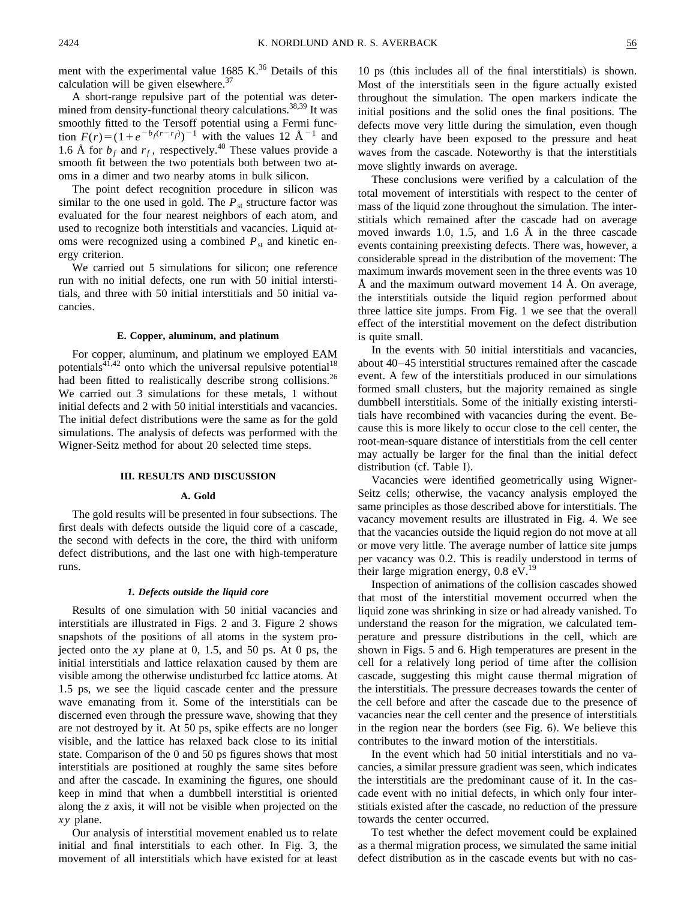ment with the experimental value  $1685$  K.<sup>36</sup> Details of this calculation will be given elsewhere. $37$ 

A short-range repulsive part of the potential was determined from density-functional theory calculations.<sup>38,39</sup> It was smoothly fitted to the Tersoff potential using a Fermi function  $F(r)=(1+e^{-b_f(r-r_f)})^{-1}$  with the values 12  $\AA^{-1}$  and 1.6 Å for  $b_f$  and  $r_f$ , respectively.<sup>40</sup> These values provide a smooth fit between the two potentials both between two atoms in a dimer and two nearby atoms in bulk silicon.

The point defect recognition procedure in silicon was similar to the one used in gold. The  $P_{st}$  structure factor was evaluated for the four nearest neighbors of each atom, and used to recognize both interstitials and vacancies. Liquid atoms were recognized using a combined  $P_{st}$  and kinetic energy criterion.

We carried out 5 simulations for silicon; one reference run with no initial defects, one run with 50 initial interstitials, and three with 50 initial interstitials and 50 initial vacancies.

## **E. Copper, aluminum, and platinum**

For copper, aluminum, and platinum we employed EAM potentials<sup>41,42</sup> onto which the universal repulsive potential<sup>18</sup> had been fitted to realistically describe strong collisions.<sup>26</sup> We carried out 3 simulations for these metals, 1 without initial defects and 2 with 50 initial interstitials and vacancies. The initial defect distributions were the same as for the gold simulations. The analysis of defects was performed with the Wigner-Seitz method for about 20 selected time steps.

#### **III. RESULTS AND DISCUSSION**

### **A. Gold**

The gold results will be presented in four subsections. The first deals with defects outside the liquid core of a cascade, the second with defects in the core, the third with uniform defect distributions, and the last one with high-temperature runs.

#### *1. Defects outside the liquid core*

Results of one simulation with 50 initial vacancies and interstitials are illustrated in Figs. 2 and 3. Figure 2 shows snapshots of the positions of all atoms in the system projected onto the *xy* plane at 0, 1.5, and 50 ps. At 0 ps, the initial interstitials and lattice relaxation caused by them are visible among the otherwise undisturbed fcc lattice atoms. At 1.5 ps, we see the liquid cascade center and the pressure wave emanating from it. Some of the interstitials can be discerned even through the pressure wave, showing that they are not destroyed by it. At 50 ps, spike effects are no longer visible, and the lattice has relaxed back close to its initial state. Comparison of the 0 and 50 ps figures shows that most interstitials are positioned at roughly the same sites before and after the cascade. In examining the figures, one should keep in mind that when a dumbbell interstitial is oriented along the *z* axis, it will not be visible when projected on the *xy* plane.

Our analysis of interstitial movement enabled us to relate initial and final interstitials to each other. In Fig. 3, the movement of all interstitials which have existed for at least 10 ps (this includes all of the final interstitials) is shown. Most of the interstitials seen in the figure actually existed throughout the simulation. The open markers indicate the initial positions and the solid ones the final positions. The defects move very little during the simulation, even though they clearly have been exposed to the pressure and heat waves from the cascade. Noteworthy is that the interstitials move slightly inwards on average.

These conclusions were verified by a calculation of the total movement of interstitials with respect to the center of mass of the liquid zone throughout the simulation. The interstitials which remained after the cascade had on average moved inwards 1.0, 1.5, and 1.6 Å in the three cascade events containing preexisting defects. There was, however, a considerable spread in the distribution of the movement: The maximum inwards movement seen in the three events was 10 Å and the maximum outward movement 14 Å. On average, the interstitials outside the liquid region performed about three lattice site jumps. From Fig. 1 we see that the overall effect of the interstitial movement on the defect distribution is quite small.

In the events with 50 initial interstitials and vacancies, about 40–45 interstitial structures remained after the cascade event. A few of the interstitials produced in our simulations formed small clusters, but the majority remained as single dumbbell interstitials. Some of the initially existing interstitials have recombined with vacancies during the event. Because this is more likely to occur close to the cell center, the root-mean-square distance of interstitials from the cell center may actually be larger for the final than the initial defect  $distri$ bution  $(cf. Table I).$ 

Vacancies were identified geometrically using Wigner-Seitz cells; otherwise, the vacancy analysis employed the same principles as those described above for interstitials. The vacancy movement results are illustrated in Fig. 4. We see that the vacancies outside the liquid region do not move at all or move very little. The average number of lattice site jumps per vacancy was 0.2. This is readily understood in terms of their large migration energy,  $0.8$  eV.<sup>19</sup>

Inspection of animations of the collision cascades showed that most of the interstitial movement occurred when the liquid zone was shrinking in size or had already vanished. To understand the reason for the migration, we calculated temperature and pressure distributions in the cell, which are shown in Figs. 5 and 6. High temperatures are present in the cell for a relatively long period of time after the collision cascade, suggesting this might cause thermal migration of the interstitials. The pressure decreases towards the center of the cell before and after the cascade due to the presence of vacancies near the cell center and the presence of interstitials in the region near the borders (see Fig.  $6$ ). We believe this contributes to the inward motion of the interstitials.

In the event which had 50 initial interstitials and no vacancies, a similar pressure gradient was seen, which indicates the interstitials are the predominant cause of it. In the cascade event with no initial defects, in which only four interstitials existed after the cascade, no reduction of the pressure towards the center occurred.

To test whether the defect movement could be explained as a thermal migration process, we simulated the same initial defect distribution as in the cascade events but with no cas-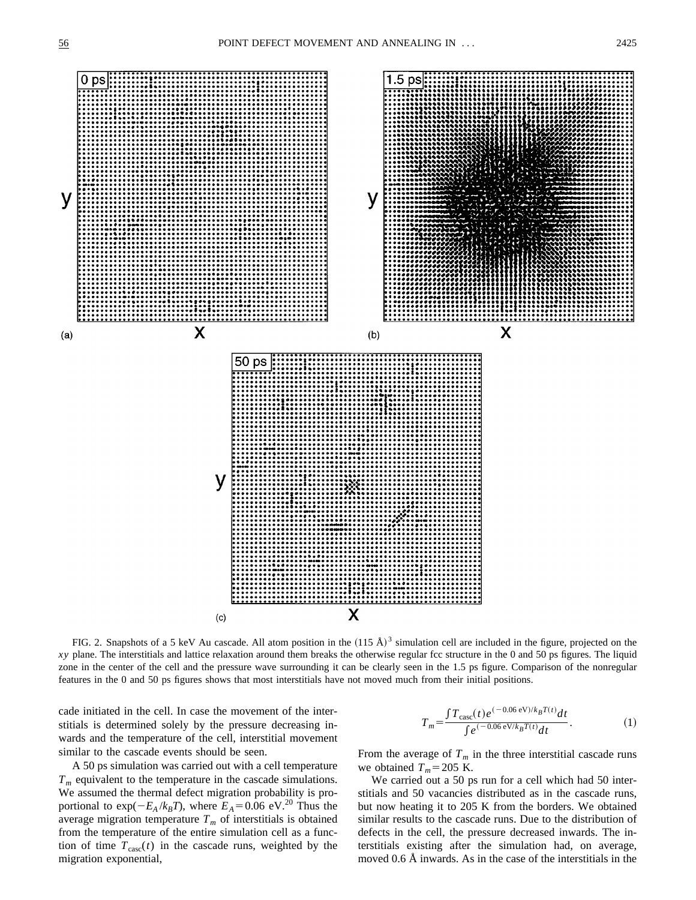

FIG. 2. Snapshots of a 5 keV Au cascade. All atom position in the  $(115 \text{ Å})^3$  simulation cell are included in the figure, projected on the *xy* plane. The interstitials and lattice relaxation around them breaks the otherwise regular fcc structure in the 0 and 50 ps figures. The liquid zone in the center of the cell and the pressure wave surrounding it can be clearly seen in the 1.5 ps figure. Comparison of the nonregular features in the 0 and 50 ps figures shows that most interstitials have not moved much from their initial positions.

cade initiated in the cell. In case the movement of the interstitials is determined solely by the pressure decreasing inwards and the temperature of the cell, interstitial movement similar to the cascade events should be seen.

A 50 ps simulation was carried out with a cell temperature  $T_m$  equivalent to the temperature in the cascade simulations. We assumed the thermal defect migration probability is proportional to  $\exp(-E_A / k_B T)$ , where  $E_A = 0.06 \text{ eV}^{20}$  Thus the average migration temperature  $T_m$  of interstitials is obtained from the temperature of the entire simulation cell as a function of time  $T_{\text{case}}(t)$  in the cascade runs, weighted by the migration exponential,

$$
T_m = \frac{\int T_{\text{casc}}(t)e^{(-0.06 \text{ eV})/k_B T(t)}dt}{\int e^{(-0.06 \text{ eV}/k_B T(t)}dt}.
$$
 (1)

From the average of  $T_m$  in the three interstitial cascade runs we obtained  $T_m$ =205 K.

We carried out a 50 ps run for a cell which had 50 interstitials and 50 vacancies distributed as in the cascade runs, but now heating it to 205 K from the borders. We obtained similar results to the cascade runs. Due to the distribution of defects in the cell, the pressure decreased inwards. The interstitials existing after the simulation had, on average, moved 0.6 Å inwards. As in the case of the interstitials in the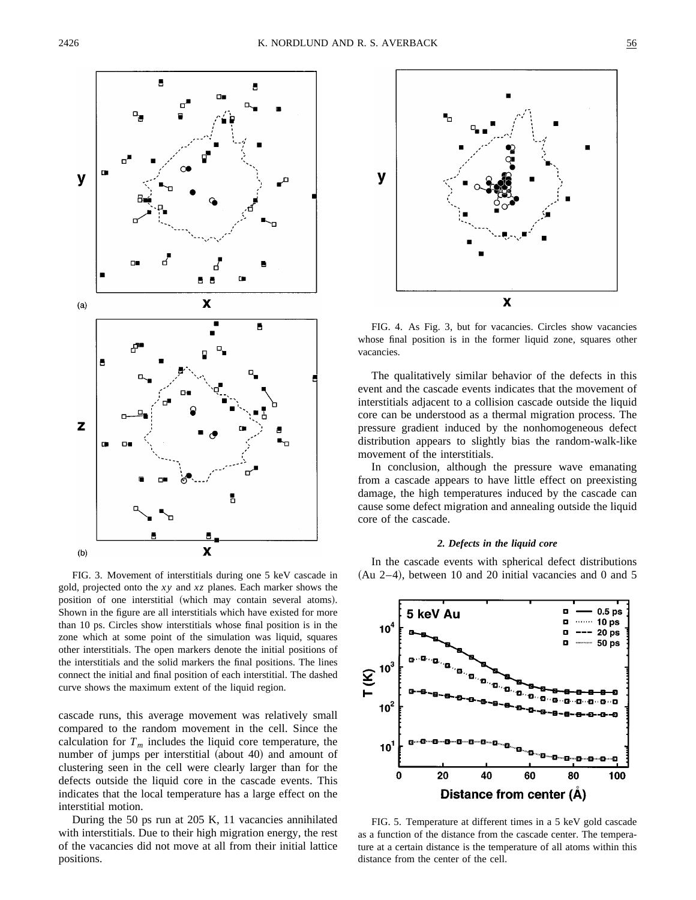

gold, projected onto the *xy* and *xz* planes. Each marker shows the position of one interstitial (which may contain several atoms). Shown in the figure are all interstitials which have existed for more than 10 ps. Circles show interstitials whose final position is in the zone which at some point of the simulation was liquid, squares other interstitials. The open markers denote the initial positions of the interstitials and the solid markers the final positions. The lines connect the initial and final position of each interstitial. The dashed curve shows the maximum extent of the liquid region.

cascade runs, this average movement was relatively small compared to the random movement in the cell. Since the calculation for  $T_m$  includes the liquid core temperature, the number of jumps per interstitial (about 40) and amount of clustering seen in the cell were clearly larger than for the defects outside the liquid core in the cascade events. This indicates that the local temperature has a large effect on the interstitial motion.

During the 50 ps run at 205 K, 11 vacancies annihilated with interstitials. Due to their high migration energy, the rest of the vacancies did not move at all from their initial lattice positions.



FIG. 4. As Fig. 3, but for vacancies. Circles show vacancies whose final position is in the former liquid zone, squares other vacancies.

The qualitatively similar behavior of the defects in this event and the cascade events indicates that the movement of interstitials adjacent to a collision cascade outside the liquid core can be understood as a thermal migration process. The pressure gradient induced by the nonhomogeneous defect distribution appears to slightly bias the random-walk-like movement of the interstitials.

In conclusion, although the pressure wave emanating from a cascade appears to have little effect on preexisting damage, the high temperatures induced by the cascade can cause some defect migration and annealing outside the liquid core of the cascade.

# *2. Defects in the liquid core*

In the cascade events with spherical defect distributions FIG. 3. Movement of interstitials during one 5 keV cascade in  $(Au 2-4)$ , between 10 and 20 initial vacancies and 0 and 5



FIG. 5. Temperature at different times in a 5 keV gold cascade as a function of the distance from the cascade center. The temperature at a certain distance is the temperature of all atoms within this distance from the center of the cell.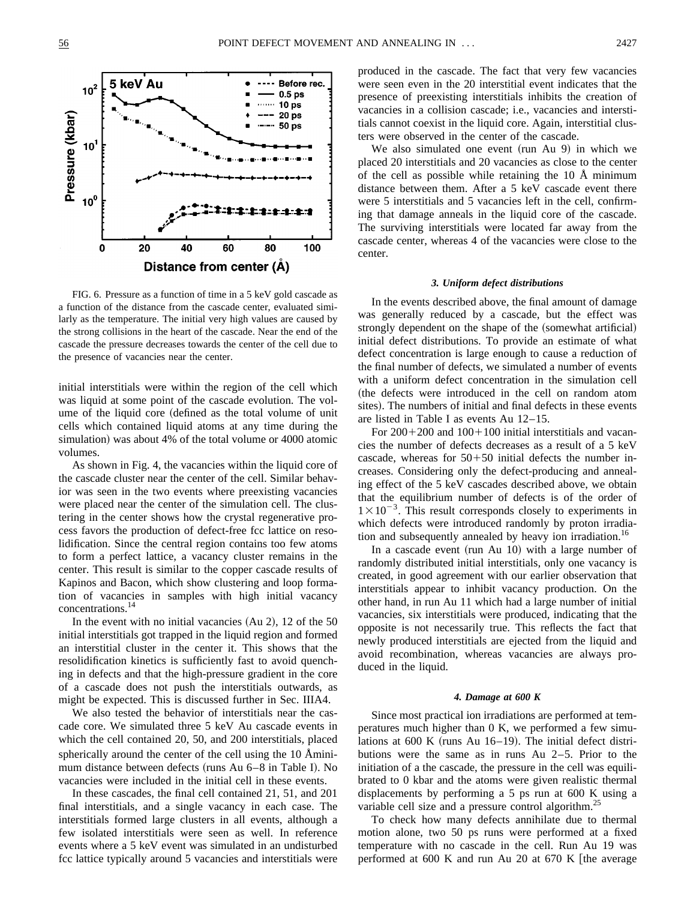

FIG. 6. Pressure as a function of time in a 5 keV gold cascade as a function of the distance from the cascade center, evaluated similarly as the temperature. The initial very high values are caused by the strong collisions in the heart of the cascade. Near the end of the cascade the pressure decreases towards the center of the cell due to the presence of vacancies near the center.

initial interstitials were within the region of the cell which was liquid at some point of the cascade evolution. The volume of the liquid core (defined as the total volume of unit cells which contained liquid atoms at any time during the simulation) was about 4% of the total volume or 4000 atomic volumes.

As shown in Fig. 4, the vacancies within the liquid core of the cascade cluster near the center of the cell. Similar behavior was seen in the two events where preexisting vacancies were placed near the center of the simulation cell. The clustering in the center shows how the crystal regenerative process favors the production of defect-free fcc lattice on resolidification. Since the central region contains too few atoms to form a perfect lattice, a vacancy cluster remains in the center. This result is similar to the copper cascade results of Kapinos and Bacon, which show clustering and loop formation of vacancies in samples with high initial vacancy concentrations.14

In the event with no initial vacancies  $(Au 2)$ , 12 of the 50 initial interstitials got trapped in the liquid region and formed an interstitial cluster in the center it. This shows that the resolidification kinetics is sufficiently fast to avoid quenching in defects and that the high-pressure gradient in the core of a cascade does not push the interstitials outwards, as might be expected. This is discussed further in Sec. IIIA4.

We also tested the behavior of interstitials near the cascade core. We simulated three 5 keV Au cascade events in which the cell contained 20, 50, and 200 interstitials, placed spherically around the center of the cell using the 10 Åminimum distance between defects (runs Au 6–8 in Table I). No vacancies were included in the initial cell in these events.

In these cascades, the final cell contained 21, 51, and 201 final interstitials, and a single vacancy in each case. The interstitials formed large clusters in all events, although a few isolated interstitials were seen as well. In reference events where a 5 keV event was simulated in an undisturbed fcc lattice typically around 5 vacancies and interstitials were produced in the cascade. The fact that very few vacancies were seen even in the 20 interstitial event indicates that the presence of preexisting interstitials inhibits the creation of vacancies in a collision cascade; i.e., vacancies and interstitials cannot coexist in the liquid core. Again, interstitial clusters were observed in the center of the cascade.

We also simulated one event  $(run Au 9)$  in which we placed 20 interstitials and 20 vacancies as close to the center of the cell as possible while retaining the 10 Å minimum distance between them. After a 5 keV cascade event there were 5 interstitials and 5 vacancies left in the cell, confirming that damage anneals in the liquid core of the cascade. The surviving interstitials were located far away from the cascade center, whereas 4 of the vacancies were close to the center.

#### *3. Uniform defect distributions*

In the events described above, the final amount of damage was generally reduced by a cascade, but the effect was strongly dependent on the shape of the (somewhat artificial) initial defect distributions. To provide an estimate of what defect concentration is large enough to cause a reduction of the final number of defects, we simulated a number of events with a uniform defect concentration in the simulation cell (the defects were introduced in the cell on random atom sites). The numbers of initial and final defects in these events are listed in Table I as events Au 12–15.

For  $200+200$  and  $100+100$  initial interstitials and vacancies the number of defects decreases as a result of a 5 keV cascade, whereas for  $50+50$  initial defects the number increases. Considering only the defect-producing and annealing effect of the 5 keV cascades described above, we obtain that the equilibrium number of defects is of the order of  $1 \times 10^{-3}$ . This result corresponds closely to experiments in which defects were introduced randomly by proton irradiation and subsequently annealed by heavy ion irradiation.<sup>16</sup>

In a cascade event (run Au 10) with a large number of randomly distributed initial interstitials, only one vacancy is created, in good agreement with our earlier observation that interstitials appear to inhibit vacancy production. On the other hand, in run Au 11 which had a large number of initial vacancies, six interstitials were produced, indicating that the opposite is not necessarily true. This reflects the fact that newly produced interstitials are ejected from the liquid and avoid recombination, whereas vacancies are always produced in the liquid.

#### *4. Damage at 600 K*

Since most practical ion irradiations are performed at temperatures much higher than 0 K, we performed a few simulations at 600 K (runs Au  $16-19$ ). The initial defect distributions were the same as in runs Au 2–5. Prior to the initiation of a the cascade, the pressure in the cell was equilibrated to 0 kbar and the atoms were given realistic thermal displacements by performing a 5 ps run at 600 K using a variable cell size and a pressure control algorithm.<sup>25</sup>

To check how many defects annihilate due to thermal motion alone, two 50 ps runs were performed at a fixed temperature with no cascade in the cell. Run Au 19 was performed at  $600$  K and run Au 20 at  $670$  K [the average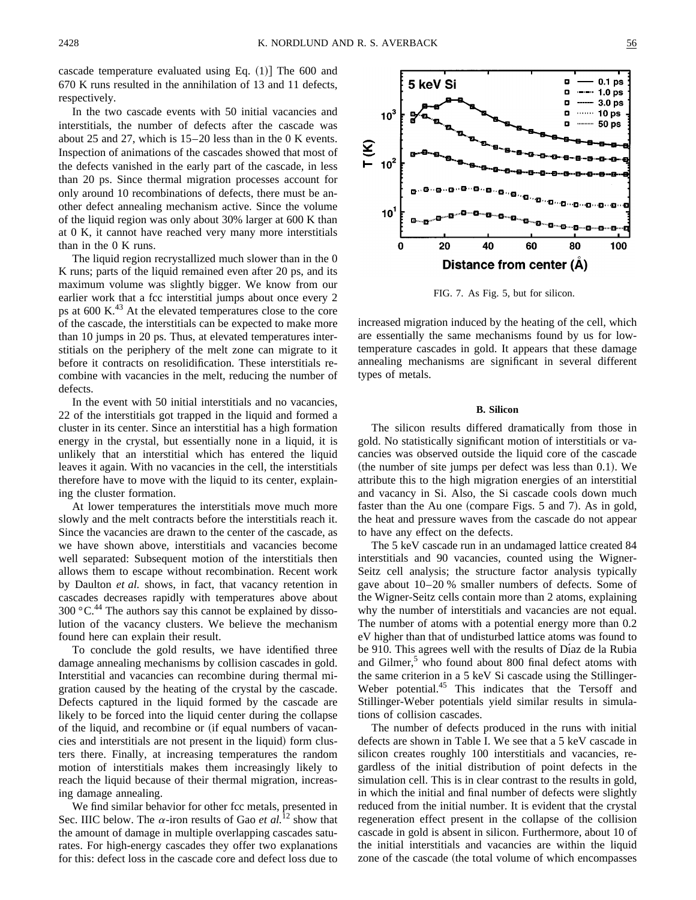cascade temperature evaluated using Eq.  $(1)$  The 600 and 670 K runs resulted in the annihilation of 13 and 11 defects, respectively.

In the two cascade events with 50 initial vacancies and interstitials, the number of defects after the cascade was about 25 and 27, which is 15–20 less than in the 0 K events. Inspection of animations of the cascades showed that most of the defects vanished in the early part of the cascade, in less than 20 ps. Since thermal migration processes account for only around 10 recombinations of defects, there must be another defect annealing mechanism active. Since the volume of the liquid region was only about 30% larger at 600 K than at 0 K, it cannot have reached very many more interstitials than in the 0 K runs.

The liquid region recrystallized much slower than in the 0 K runs; parts of the liquid remained even after 20 ps, and its maximum volume was slightly bigger. We know from our earlier work that a fcc interstitial jumps about once every 2 ps at  $600 \text{ K}^{43}$ . At the elevated temperatures close to the core of the cascade, the interstitials can be expected to make more than 10 jumps in 20 ps. Thus, at elevated temperatures interstitials on the periphery of the melt zone can migrate to it before it contracts on resolidification. These interstitials recombine with vacancies in the melt, reducing the number of defects.

In the event with 50 initial interstitials and no vacancies, 22 of the interstitials got trapped in the liquid and formed a cluster in its center. Since an interstitial has a high formation energy in the crystal, but essentially none in a liquid, it is unlikely that an interstitial which has entered the liquid leaves it again. With no vacancies in the cell, the interstitials therefore have to move with the liquid to its center, explaining the cluster formation.

At lower temperatures the interstitials move much more slowly and the melt contracts before the interstitials reach it. Since the vacancies are drawn to the center of the cascade, as we have shown above, interstitials and vacancies become well separated: Subsequent motion of the interstitials then allows them to escape without recombination. Recent work by Daulton *et al.* shows, in fact, that vacancy retention in cascades decreases rapidly with temperatures above about  $300 \degree C$ .<sup>44</sup> The authors say this cannot be explained by dissolution of the vacancy clusters. We believe the mechanism found here can explain their result.

To conclude the gold results, we have identified three damage annealing mechanisms by collision cascades in gold. Interstitial and vacancies can recombine during thermal migration caused by the heating of the crystal by the cascade. Defects captured in the liquid formed by the cascade are likely to be forced into the liquid center during the collapse of the liquid, and recombine or (if equal numbers of vacancies and interstitials are not present in the liquid) form clusters there. Finally, at increasing temperatures the random motion of interstitials makes them increasingly likely to reach the liquid because of their thermal migration, increasing damage annealing.

We find similar behavior for other fcc metals, presented in Sec. IIIC below. The  $\alpha$ -iron results of Gao *et al.*<sup>12</sup> show that the amount of damage in multiple overlapping cascades saturates. For high-energy cascades they offer two explanations for this: defect loss in the cascade core and defect loss due to

FIG. 7. As Fig. 5, but for silicon.

increased migration induced by the heating of the cell, which are essentially the same mechanisms found by us for lowtemperature cascades in gold. It appears that these damage annealing mechanisms are significant in several different types of metals.

#### **B. Silicon**

The silicon results differed dramatically from those in gold. No statistically significant motion of interstitials or vacancies was observed outside the liquid core of the cascade (the number of site jumps per defect was less than  $0.1$ ). We attribute this to the high migration energies of an interstitial and vacancy in Si. Also, the Si cascade cools down much faster than the Au one (compare Figs.  $5$  and  $7$ ). As in gold, the heat and pressure waves from the cascade do not appear to have any effect on the defects.

The 5 keV cascade run in an undamaged lattice created 84 interstitials and 90 vacancies, counted using the Wigner-Seitz cell analysis; the structure factor analysis typically gave about 10–20 % smaller numbers of defects. Some of the Wigner-Seitz cells contain more than 2 atoms, explaining why the number of interstitials and vacancies are not equal. The number of atoms with a potential energy more than 0.2 eV higher than that of undisturbed lattice atoms was found to be 910. This agrees well with the results of Díaz de la Rubia and Gilmer,<sup>5</sup> who found about 800 final defect atoms with the same criterion in a 5 keV Si cascade using the Stillinger-Weber potential.<sup>45</sup> This indicates that the Tersoff and Stillinger-Weber potentials yield similar results in simulations of collision cascades.

The number of defects produced in the runs with initial defects are shown in Table I. We see that a 5 keV cascade in silicon creates roughly 100 interstitials and vacancies, regardless of the initial distribution of point defects in the simulation cell. This is in clear contrast to the results in gold, in which the initial and final number of defects were slightly reduced from the initial number. It is evident that the crystal regeneration effect present in the collapse of the collision cascade in gold is absent in silicon. Furthermore, about 10 of the initial interstitials and vacancies are within the liquid zone of the cascade (the total volume of which encompasses

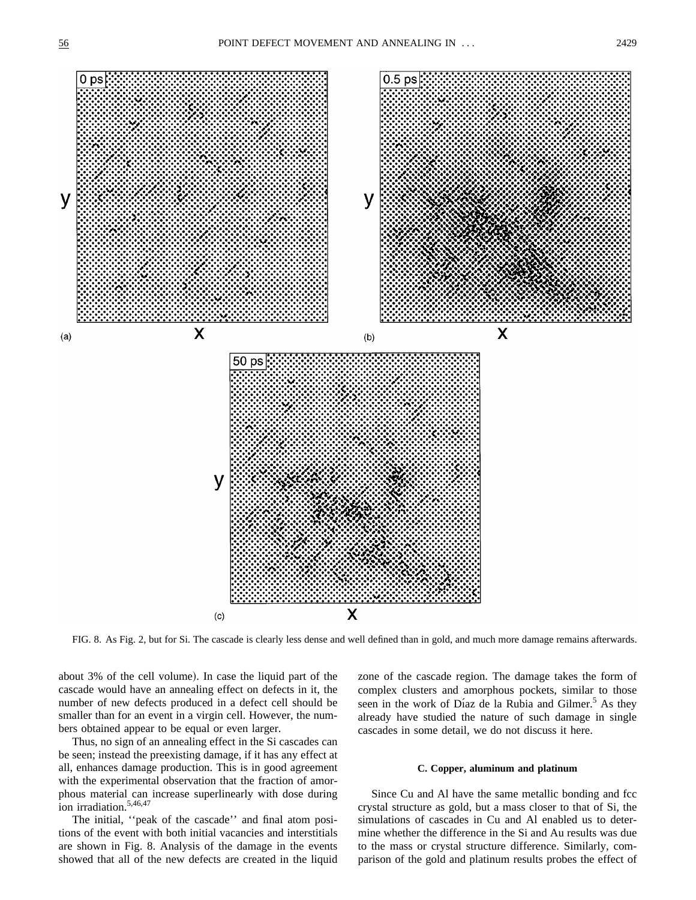

FIG. 8. As Fig. 2, but for Si. The cascade is clearly less dense and well defined than in gold, and much more damage remains afterwards.

about 3% of the cell volume). In case the liquid part of the cascade would have an annealing effect on defects in it, the number of new defects produced in a defect cell should be smaller than for an event in a virgin cell. However, the numbers obtained appear to be equal or even larger.

Thus, no sign of an annealing effect in the Si cascades can be seen; instead the preexisting damage, if it has any effect at all, enhances damage production. This is in good agreement with the experimental observation that the fraction of amorphous material can increase superlinearly with dose during ion irradiation.5,46,47

The initial, ''peak of the cascade'' and final atom positions of the event with both initial vacancies and interstitials are shown in Fig. 8. Analysis of the damage in the events showed that all of the new defects are created in the liquid zone of the cascade region. The damage takes the form of complex clusters and amorphous pockets, similar to those seen in the work of Díaz de la Rubia and Gilmer.<sup>5</sup> As they already have studied the nature of such damage in single cascades in some detail, we do not discuss it here.

#### **C. Copper, aluminum and platinum**

Since Cu and Al have the same metallic bonding and fcc crystal structure as gold, but a mass closer to that of Si, the simulations of cascades in Cu and Al enabled us to determine whether the difference in the Si and Au results was due to the mass or crystal structure difference. Similarly, comparison of the gold and platinum results probes the effect of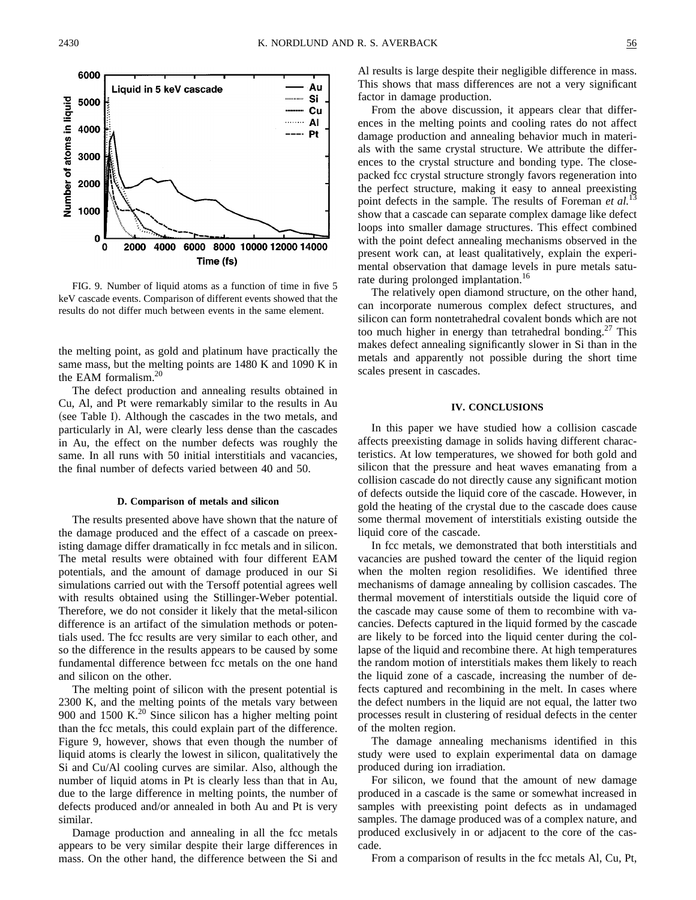

FIG. 9. Number of liquid atoms as a function of time in five 5 keV cascade events. Comparison of different events showed that the results do not differ much between events in the same element.

the melting point, as gold and platinum have practically the same mass, but the melting points are 1480 K and 1090 K in the EAM formalism.<sup>20</sup>

The defect production and annealing results obtained in Cu, Al, and Pt were remarkably similar to the results in Au (see Table I). Although the cascades in the two metals, and particularly in Al, were clearly less dense than the cascades in Au, the effect on the number defects was roughly the same. In all runs with 50 initial interstitials and vacancies, the final number of defects varied between 40 and 50.

#### **D. Comparison of metals and silicon**

The results presented above have shown that the nature of the damage produced and the effect of a cascade on preexisting damage differ dramatically in fcc metals and in silicon. The metal results were obtained with four different EAM potentials, and the amount of damage produced in our Si simulations carried out with the Tersoff potential agrees well with results obtained using the Stillinger-Weber potential. Therefore, we do not consider it likely that the metal-silicon difference is an artifact of the simulation methods or potentials used. The fcc results are very similar to each other, and so the difference in the results appears to be caused by some fundamental difference between fcc metals on the one hand and silicon on the other.

The melting point of silicon with the present potential is 2300 K, and the melting points of the metals vary between 900 and 1500 K. $^{20}$  Since silicon has a higher melting point than the fcc metals, this could explain part of the difference. Figure 9, however, shows that even though the number of liquid atoms is clearly the lowest in silicon, qualitatively the Si and Cu/Al cooling curves are similar. Also, although the number of liquid atoms in Pt is clearly less than that in Au, due to the large difference in melting points, the number of defects produced and/or annealed in both Au and Pt is very similar.

Damage production and annealing in all the fcc metals appears to be very similar despite their large differences in mass. On the other hand, the difference between the Si and Al results is large despite their negligible difference in mass. This shows that mass differences are not a very significant factor in damage production.

From the above discussion, it appears clear that differences in the melting points and cooling rates do not affect damage production and annealing behavior much in materials with the same crystal structure. We attribute the differences to the crystal structure and bonding type. The closepacked fcc crystal structure strongly favors regeneration into the perfect structure, making it easy to anneal preexisting point defects in the sample. The results of Foreman *et al.*<sup>13</sup> show that a cascade can separate complex damage like defect loops into smaller damage structures. This effect combined with the point defect annealing mechanisms observed in the present work can, at least qualitatively, explain the experimental observation that damage levels in pure metals saturate during prolonged implantation.<sup>16</sup>

The relatively open diamond structure, on the other hand, can incorporate numerous complex defect structures, and silicon can form nontetrahedral covalent bonds which are not too much higher in energy than tetrahedral bonding.<sup>27</sup> This makes defect annealing significantly slower in Si than in the metals and apparently not possible during the short time scales present in cascades.

### **IV. CONCLUSIONS**

In this paper we have studied how a collision cascade affects preexisting damage in solids having different characteristics. At low temperatures, we showed for both gold and silicon that the pressure and heat waves emanating from a collision cascade do not directly cause any significant motion of defects outside the liquid core of the cascade. However, in gold the heating of the crystal due to the cascade does cause some thermal movement of interstitials existing outside the liquid core of the cascade.

In fcc metals, we demonstrated that both interstitials and vacancies are pushed toward the center of the liquid region when the molten region resolidifies. We identified three mechanisms of damage annealing by collision cascades. The thermal movement of interstitials outside the liquid core of the cascade may cause some of them to recombine with vacancies. Defects captured in the liquid formed by the cascade are likely to be forced into the liquid center during the collapse of the liquid and recombine there. At high temperatures the random motion of interstitials makes them likely to reach the liquid zone of a cascade, increasing the number of defects captured and recombining in the melt. In cases where the defect numbers in the liquid are not equal, the latter two processes result in clustering of residual defects in the center of the molten region.

The damage annealing mechanisms identified in this study were used to explain experimental data on damage produced during ion irradiation.

For silicon, we found that the amount of new damage produced in a cascade is the same or somewhat increased in samples with preexisting point defects as in undamaged samples. The damage produced was of a complex nature, and produced exclusively in or adjacent to the core of the cascade.

From a comparison of results in the fcc metals Al, Cu, Pt,